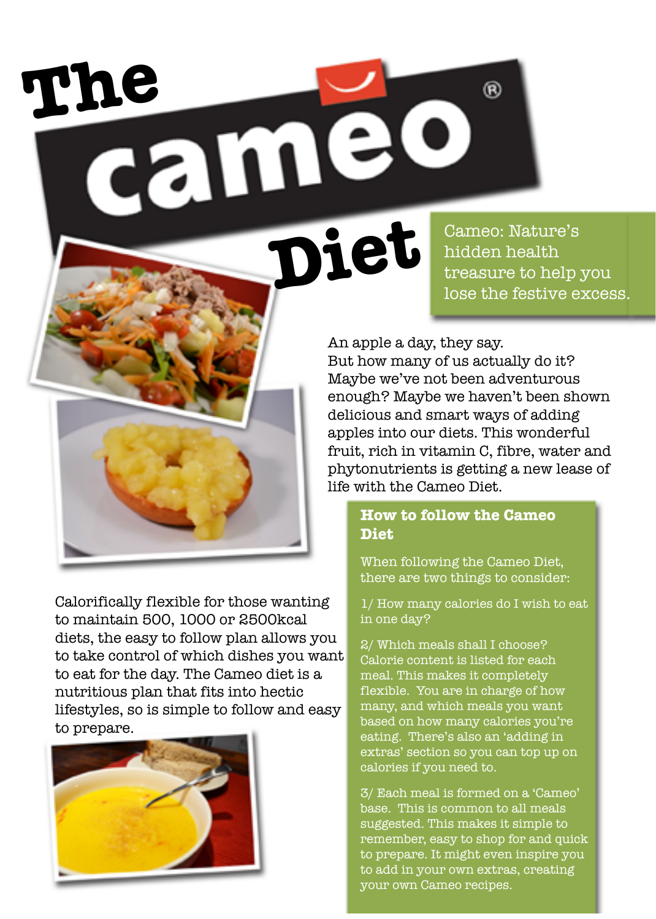The <sub>came</sub>

**Diete** Cameo: Nature's<br>
hidden health<br>
treasure to help hidden health

间

treasure to help you lose the festive excess.

An apple a day, they say. But how many of us actually do it?

Maybe we've not been adventurous enough? Maybe we haven't been shown delicious and smart ways of adding apples into our diets. This wonderful fruit, rich in vitamin C, fibre, water and phytonutrients is getting a new lease of life with the Cameo Diet.

#### **How to follow the Cameo Diet**

When following the Cameo Diet, there are two things to consider:

1/ How many calories do I wish to eat in one day?

2/ Which meals shall I choose? Calorie content is listed for each meal. This makes it completely flexible. You are in charge of how many, and which meals you want based on how many calories you're eating. There's also an 'adding in extras' section so you can top up on calories if you need to.

3/ Each meal is formed on a 'Cameo' base. This is common to all meals suggested. This makes it simple to remember, easy to shop for and quick to prepare. It might even inspire you to add in your own extras, creating your own Cameo recipes.

Calorifically flexible for those wanting to maintain 500, 1000 or 2500kcal diets, the easy to follow plan allows you to take control of which dishes you want to eat for the day. The Cameo diet is a nutritious plan that fits into hectic lifestyles, so is simple to follow and easy to prepare.

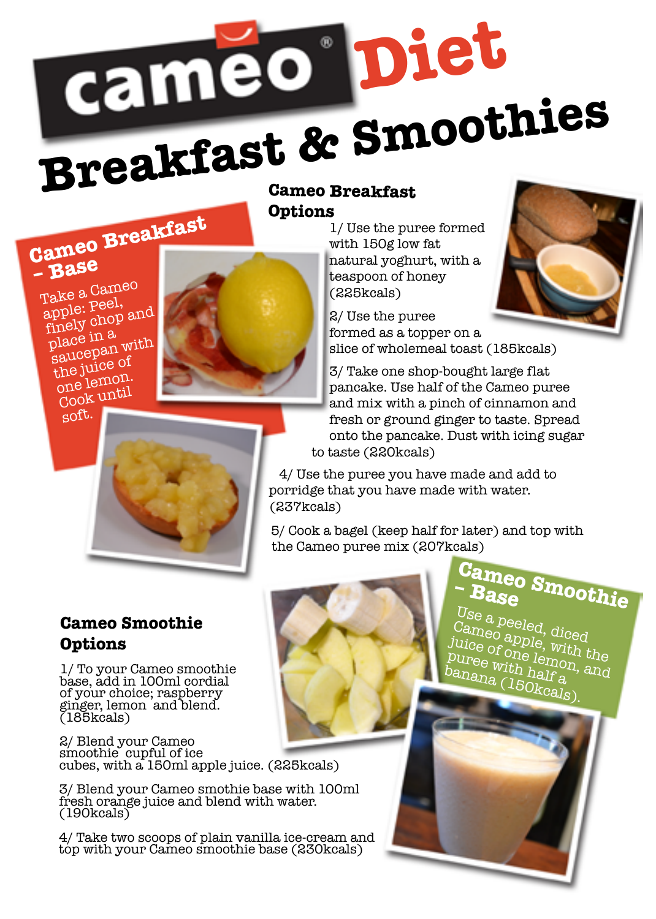

## **Options**

**Cameo Breakfast** 

**– Base** Take a Cameo apple: Peel, finely chop and place in a<br>saucepan with the juice of one lemon. Cook until

soft.



1/ Use the puree formed with 150g low fat natural yoghurt, with a teaspoon of honey (225kcals)

2/ Use the puree formed as a topper on a slice of wholemeal toast (185kcals)

3/ Take one shop-bought large flat pancake. Use half of the Cameo puree and mix with a pinch of cinnamon and fresh or ground ginger to taste. Spread onto the pancake. Dust with icing sugar to taste (220kcals)

4/ Use the puree you have made and add to porridge that you have made with water. (237kcals)

5/ Cook a bagel (keep half for later) and top with the Cameo puree mix (207kcals)

#### **Cameo Smoothie Options**

1/ To your Cameo smoothie base, add in 100ml cordial of your choice; raspberry ginger, lemon and blend. (185kcals)

2/ Blend your Cameo smoothie cupful of ice cubes, with a 150ml apple juice. (225kcals)

3/ Blend your Cameo smothie base with 100ml fresh orange juice and blend with water. (190kcals)

4/ Take two scoops of plain vanilla ice-cream and top with your Cameo smoothie base (230kcals)

**Cameo Smoothie – Base**

Use a peeled, diced Cameo apple, with the juice of one lemon, and puree with half a banana (150kcals).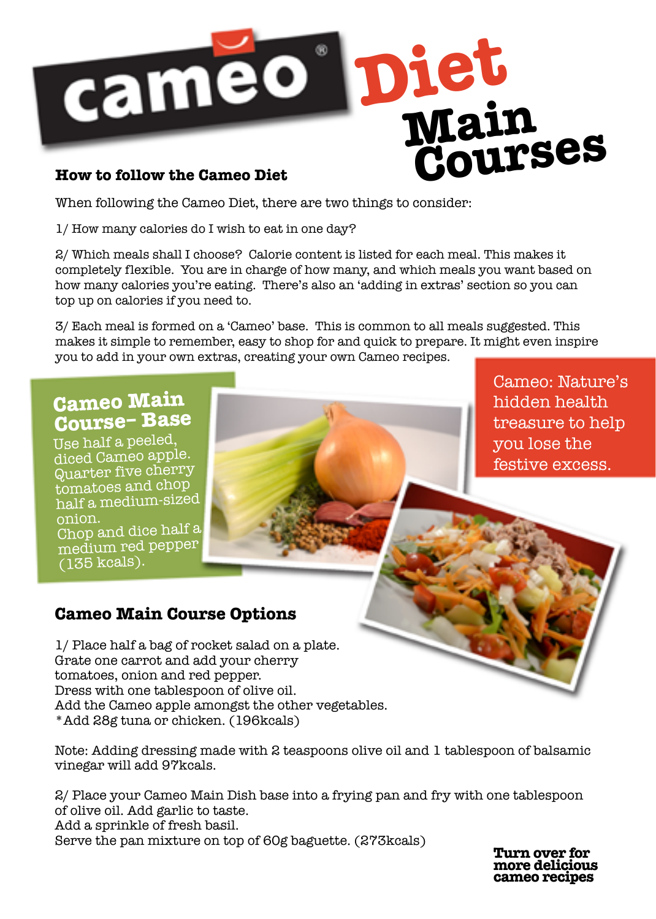

When following the Cameo Diet, there are two things to consider:

1/ How many calories do I wish to eat in one day?

2/ Which meals shall I choose? Calorie content is listed for each meal. This makes it completely flexible. You are in charge of how many, and which meals you want based on how many calories you're eating. There's also an 'adding in extras' section so you can top up on calories if you need to.

3/ Each meal is formed on a 'Cameo' base. This is common to all meals suggested. This makes it simple to remember, easy to shop for and quick to prepare. It might even inspire you to add in your own extras, creating your own Cameo recipes.

### **Cameo Main Course– Base**

Use half a peeled, diced Cameo apple. Quarter five cherry tomatoes and chop half a medium-sized onion.

Chop and dice half a medium red pepper (135 kcals).

#### Cameo: Nature's hidden health treasure to help you lose the festive excess.

#### **Cameo Main Course Options**

1/ Place half a bag of rocket salad on a plate. Grate one carrot and add your cherry tomatoes, onion and red pepper. Dress with one tablespoon of olive oil. Add the Cameo apple amongst the other vegetables. \*Add 28g tuna or chicken. (196kcals)

Note: Adding dressing made with 2 teaspoons olive oil and 1 tablespoon of balsamic vinegar will add 97kcals.

2/ Place your Cameo Main Dish base into a frying pan and fry with one tablespoon of olive oil. Add garlic to taste. Add a sprinkle of fresh basil. Serve the pan mixture on top of 60g baguette. (273kcals)

**Turn over for more delicious cameo recipes**